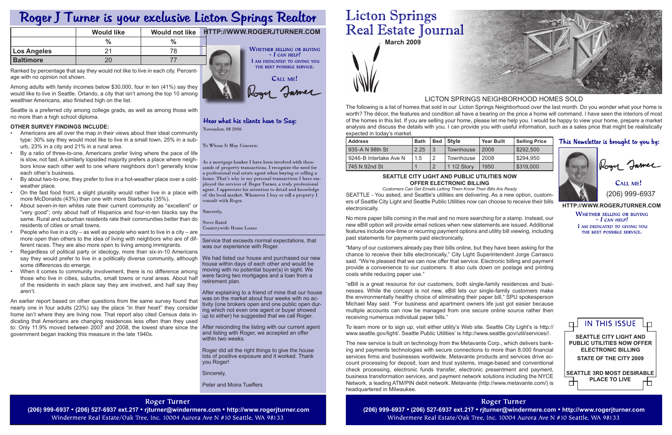**March 2009**

Service that exceeds normal expectations, that was our experience with Roger.

house within days of each other and would be moving with no potential buyer(s) in sight. We were facing two mortgages and a loan from a retirement plan.

After explaining to a friend of mine that our house was on the market about four weeks with no activity (one brokers open and one public open during which not even one agent or buyer showed up to either) he suggested that we call Roger.

After rescinding the listing with our current agent and listing with Roger, we accepted an offer within two weeks.

**http://www.rogerjturner.com WHETHER SELLING OR BUYING**  $- I$  CAN HELP!

I AM DEDICATED TO GIVING YOU THE BEST POSSIBLE SERVICE.

Roger did all the right things to give the house lots of positive exposure and it worked. Thank you Roger!

Sincerely,

Peter and Moira Tueffers

# **Roger Turner**

Windermere Real Estate/Oak Tree, Inc. 10004 Aurora Ave N #10 Seattle, WA 98133

# **Licton Springs** Real Estate Journal

CALL ME! (206) 999-6937

The following is a list of homes that sold in our Licton Springs Neighborhood over the last month. Do you wonder what your home is worth? The décor, the features and condition all have a bearing on the price a home will command. I have seen the interiors of most of the homes in this list. If you are selling your home, please let me help you. I would be happy to view your home, prepare a market analysis and discuss the details with you. I can provide you with useful information, such as a sales price that might be realistically expected in today's market.

# LICTON SPRINGS NEIGHBORHOOD HOMES SOLD

# Roger J Turner is your exclusive Licton Springs Realtor

|                    | <b>Would like</b> | Would not like | HITP://WWW.ROGERJTURNER.COM                         |
|--------------------|-------------------|----------------|-----------------------------------------------------|
|                    | $\frac{1}{2}$     |                |                                                     |
| <b>Los Angeles</b> |                   | 78.            | <b>WHETHER SELLING OR BUYING</b><br>$-$ I can help! |
| <b>Baltimore</b>   |                   |                | AM DEDICATED TO GIVING YOU                          |

Ranked by percentage that say they would not like to live in each city. Percentage with no opinion not shown.

Among adults with family incomes below \$30,000, four in ten (41%) say they would like to live in Seattle. Orlando, a city that isn't among the top 10 among wealthier Americans, also finished high on the list.

Seattle is a preferred city among college grads, as well as among those with no more than a high school diploma.

# **Other survey findings include:**

- Americans are all over the map in their views about their ideal community type: 30% say they would most like to live in a small town, 25% in a suburb, 23% in a city and 21% in a rural area.
- By a ratio of three-to-one, Americans prefer living where the pace of life is slow, not fast. A similarly lopsided majority prefers a place where neighbors know each other well to one where neighbors don't generally know each other's business.
- By about two-to-one, they prefer to live in a hot-weather place over a coldweather place.
- On the fast food front, a slight plurality would rather live in a place with more McDonalds (43%) than one with more Starbucks (35%).
- About seven-in-ten whites rate their current community as "excellent" or "very good"; only about half of Hispanics and four-in-ten blacks say the same. Rural and suburban residents rate their communities better than do residents of cities or small towns.
- People who live in a city as well as people who want to live in a city are more open than others to the idea of living with neighbors who are of different races. They are also more open to living among immigrants.
- say they would prefer to live in a politically diverse community, although We had listed our house and purchased our new • Regardless of political party or ideology, more than six-in-10 Americans some differences do emerge.
- When it comes to community involvement, there is no difference among those who live in cities, suburbs, small towns or rural areas. About half of the residents in each place say they are involved, and half say they aren't.

An earlier report based on other questions from the same survey found that nearly one in four adults (23%) say the place "in their heart" they consider home isn't where they are living now. That report also cited Census data indicating that Americans are changing residences less often than they used to: Only 11.9% moved between 2007 and 2008, the lowest share since the government began tracking this measure in the late 1940s.

**WHETHER SELLING OR BUYING**  $- I$  CAN HELP! I AM DEDICATED TO GIVING YOU THE BEST POSSIBLE SERVICE. CALL ME!

Rogy James

# Hear what his clients have to Say: November, 08 2006

To Whom It May Concern:

As a mortgage banker I have been involved with thousands of property transactions. I recognize the need for a professional real estate agent when buying or selling a home. That's why in my personal transactions I have employed the services of Roger Turner, a truly professional agent. I appreciate his attention to detail and knowledge of the local market. Whenever I buy or sell a property  $\tilde{I}$ consult with Roger.

Sincerely,

**Steve Baird** Countrywide Home Loans

| <b>Address</b>         | <b>Bath</b> | l Bed | Style       | <b>Year Built</b> | Selling Price |
|------------------------|-------------|-------|-------------|-------------------|---------------|
| I 935-A N 98th St      | 2.25        | 3     | Townhouse   | l 2008            | \$292,500     |
| 9246-B Interlake Ave N | 1.5         |       | Townhouse   | 2008              | \$294.950     |
| 745 N 92nd St          |             |       | 1 1/2 Story | 1950              | \$319,000     |

# **SEATTLE CITY LIGHT AND PUBLIC UTILITIES NOW OFFER ELECTRONIC BILLING**

*Customers Can Get Emails Letting Them Know Their Bills Are Ready* SEATTLE - You asked, and Seattle's utilities are delivering. As a new option, customers of Seattle City Light and Seattle Public Utilities now can choose to receive their bills electronically.

No more paper bills coming in the mail and no more searching for a stamp. Instead, our new eBill option will provide email notices when new statements are issued. Additional features include one-time or recurring payment options and utility bill viewing, including past statements for payments paid electronically.

"Many of our customers already pay their bills online, but they have been asking for the chance to receive their bills electronically," City Light Superintendent Jorge Carrasco said. "We're pleased that we can now offer that service. Electronic billing and payment provide a convenience to our customers. It also cuts down on postage and printing costs while reducing paper use."

"eBill is a great resource for our customers, both single-family residences and businesses. While the concept is not new, eBill lets our single-family customers make the environmentally healthy choice of eliminating their paper bill," SPU spokesperson Michael May said. "For business and apartment owners life just got easier because multiple accounts can now be managed from one secure online source rather then receiving numerous individual paper bills."

To learn more or to sign up, visit either utility's Web site. Seattle City Light's is http:// www.seattle.gov/light/. Seattle Public Utilities' is http://www.seattle.gov/util/services//.

The new service is built on technology from the Metavante Corp., which delivers banking and payments technologies with secure connections to more than 8,000 financial services firms and businesses worldwide. Metavante products and services drive account processing for deposit, loan and trust systems, image-based and conventional check processing, electronic funds transfer, electronic presentment and payment, business transformation services, and payment network solutions including the NYCE Network, a leading ATM/PIN debit network. Metavante (http://www.metavante.com/) is headquartered in Milwaukee.

**Roger Turner** (206) 999-6937 • (206) 527-6937 ext.217 • rjturner@windermere.com • http://www.rogerjturner.com (206) 999-6937 • (206) 527-6937 ext.217 • rjturner@windermere.com • http://www.rogerjturner.com Windermere Real Estate/Oak Tree, Inc. 10004 Aurora Ave N #10 Seattle, WA 98133



# This Newsletter is brought to you by:



Kogy James